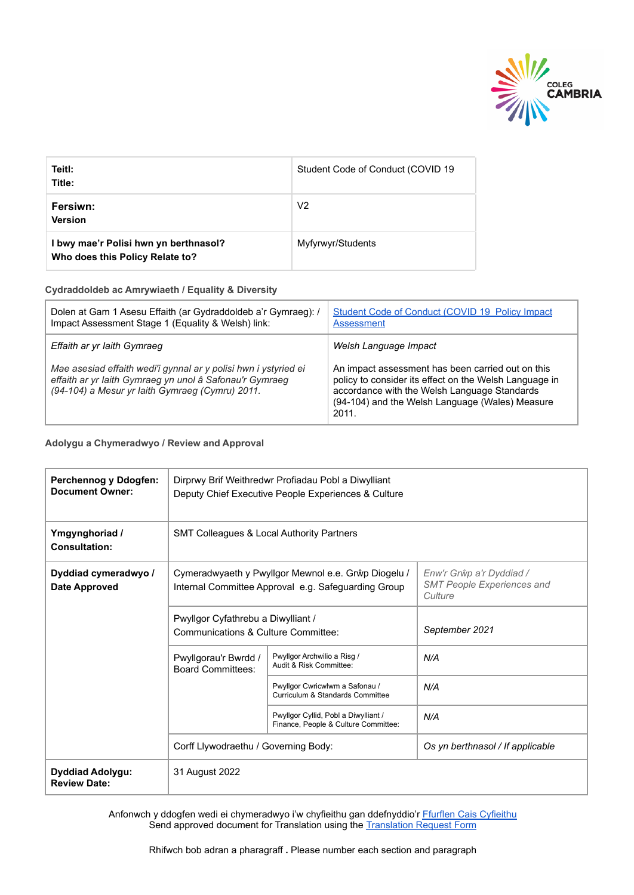

| Teitl:<br>Title:                                                         | Student Code of Conduct (COVID 19 |
|--------------------------------------------------------------------------|-----------------------------------|
| Fersiwn:<br><b>Version</b>                                               | V <sub>2</sub>                    |
| I bwy mae'r Polisi hwn yn berthnasol?<br>Who does this Policy Relate to? | Myfyrwyr/Students                 |

**Cydraddoldeb ac Amrywiaeth / Equality & Diversity**

| Dolen at Gam 1 Asesu Effaith (ar Gydraddoldeb a'r Gymraeg): /<br>Impact Assessment Stage 1 (Equality & Welsh) link:                                                           | Student Code of Conduct (COVID 19 Policy Impact<br>Assessment                                                                                                                                                           |
|-------------------------------------------------------------------------------------------------------------------------------------------------------------------------------|-------------------------------------------------------------------------------------------------------------------------------------------------------------------------------------------------------------------------|
| Effaith ar yr Iaith Gymraeg                                                                                                                                                   | Welsh Language Impact                                                                                                                                                                                                   |
| Mae asesiad effaith wedi'i gynnal ar y polisi hwn i ystyried ei<br>effaith ar yr laith Gymraeg yn unol â Safonau'r Gymraeg<br>(94-104) a Mesur yr Iaith Gymraeg (Cymru) 2011. | An impact assessment has been carried out on this<br>policy to consider its effect on the Welsh Language in<br>accordance with the Welsh Language Standards<br>(94-104) and the Welsh Language (Wales) Measure<br>2011. |

**Adolygu a Chymeradwyo / Review and Approval**

| Perchennog y Ddogfen:<br><b>Document Owner:</b> | Dirprwy Brif Weithredwr Profiadau Pobl a Diwylliant<br>Deputy Chief Executive People Experiences & Culture |                                                                              |                                                                          |  |
|-------------------------------------------------|------------------------------------------------------------------------------------------------------------|------------------------------------------------------------------------------|--------------------------------------------------------------------------|--|
| Ymgynghoriad /<br>Consultation:                 | SMT Colleagues & Local Authority Partners                                                                  |                                                                              |                                                                          |  |
| Dyddiad cymeradwyo /<br><b>Date Approved</b>    | Cymeradwyaeth y Pwyllgor Mewnol e.e. Grŵp Diogelu /<br>Internal Committee Approval e.g. Safeguarding Group |                                                                              | Enw'r Grŵp a'r Dyddiad /<br><b>SMT People Experiences and</b><br>Culture |  |
|                                                 | Pwyllgor Cyfathrebu a Diwylliant /<br>Communications & Culture Committee:                                  |                                                                              | September 2021                                                           |  |
|                                                 | Pwyllgorau'r Bwrdd /<br><b>Board Committees:</b>                                                           | Pwyllgor Archwilio a Risg /<br>Audit & Risk Committee:                       | N/A                                                                      |  |
|                                                 |                                                                                                            | Pwyllgor Cwricwlwm a Safonau /<br>Curriculum & Standards Committee           | N/A                                                                      |  |
|                                                 |                                                                                                            | Pwyllgor Cyllid, Pobl a Diwylliant /<br>Finance, People & Culture Committee: | N/A                                                                      |  |
|                                                 | Corff Llywodraethu / Governing Body:                                                                       |                                                                              | Os yn berthnasol / If applicable                                         |  |
| Dyddiad Adolygu:<br><b>Review Date:</b>         | 31 August 2022                                                                                             |                                                                              |                                                                          |  |

Anfonwch y ddogfen wedi ei chymeradwyo i'w chyfieithu gan ddefnyddio'r [Ffurflen Cais Cyfieithu](https://staff.cambria.ac.uk/translation-request-form/) Send approved document for Translation using the Translation [Request Form](https://staff.cambria.ac.uk/translation-request-form/)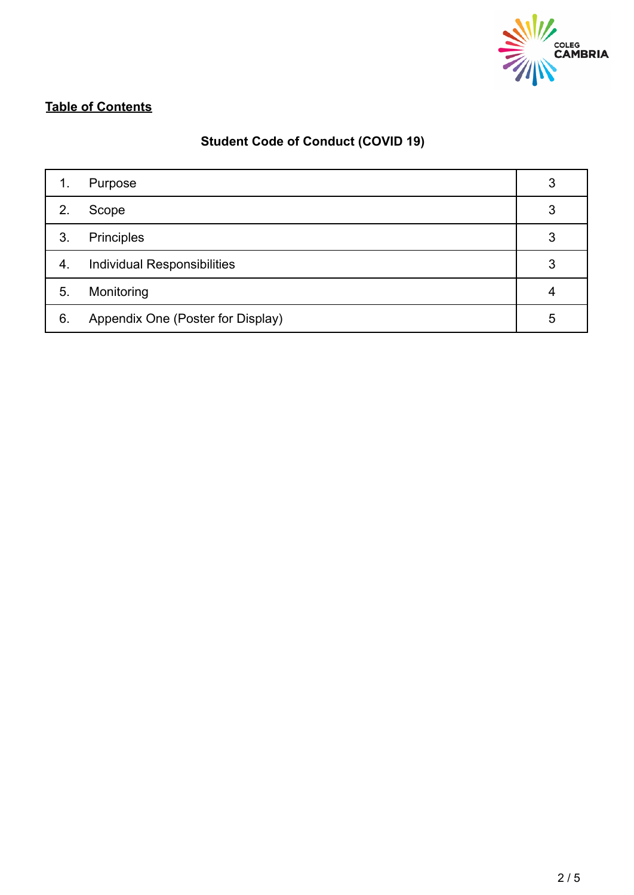

# **Table of Contents**

# **Student Code of Conduct (COVID 19)**

| 1. | Purpose                            | 3 |
|----|------------------------------------|---|
| 2. | Scope                              | 3 |
| 3. | <b>Principles</b>                  | 3 |
| 4. | <b>Individual Responsibilities</b> | 3 |
| 5. | Monitoring                         | 4 |
| 6. | Appendix One (Poster for Display)  | 5 |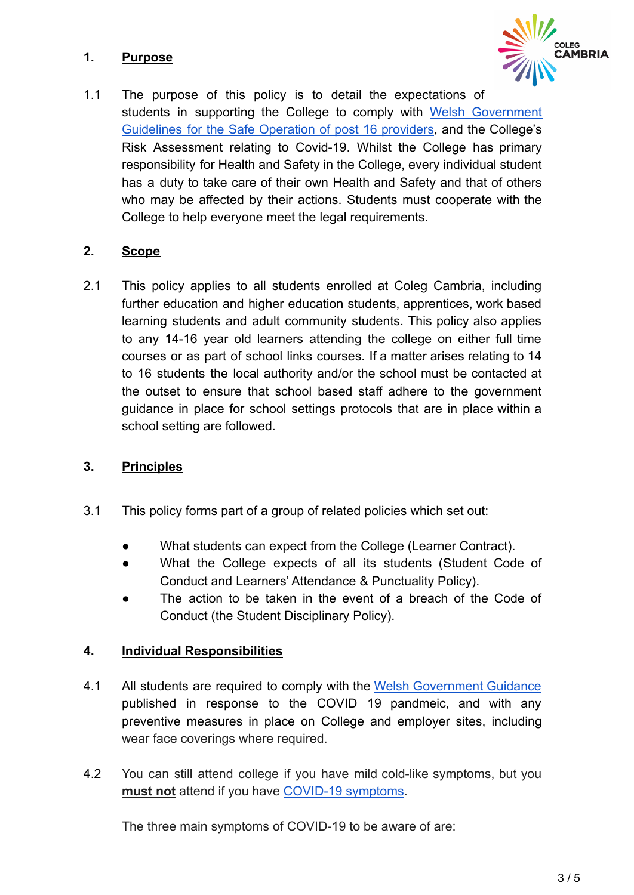## **1. Purpose**



1.1 The purpose of this policy is to detail the expectations of students in supporting the College to comply with Welsh [Government](https://gov.wales/guidance-safe-operation-post-16-learning) [Guidelines](https://gov.wales/guidance-safe-operation-post-16-learning) for the Safe Operation of post 16 providers, and the College's Risk Assessment relating to Covid-19. Whilst the College has primary responsibility for Health and Safety in the College, every individual student has a duty to take care of their own Health and Safety and that of others who may be affected by their actions. Students must cooperate with the College to help everyone meet the legal requirements.

### **2. Scope**

2.1 This policy applies to all students enrolled at Coleg Cambria, including further education and higher education students, apprentices, work based learning students and adult community students. This policy also applies to any 14-16 year old learners attending the college on either full time courses or as part of school links courses. If a matter arises relating to 14 to 16 students the local authority and/or the school must be contacted at the outset to ensure that school based staff adhere to the government guidance in place for school settings protocols that are in place within a school setting are followed.

### **3. Principles**

- 3.1 This policy forms part of a group of related policies which set out:
	- What students can expect from the College (Learner Contract).
	- What the College expects of all its students (Student Code of Conduct and Learners' Attendance & Punctuality Policy).
	- The action to be taken in the event of a breach of the Code of Conduct (the Student Disciplinary Policy).

### **4. Individual Responsibilities**

- 4.1 All students are required to comply with the Welsh [Government](https://gov.wales/coronavirus) Guidance published in response to the COVID 19 pandmeic, and with any preventive measures in place on College and employer sites, including wear face coverings where required.
- 4.2 You can still attend college if you have mild cold-like symptoms, but you **must not** attend if you have [COVID-19 symptoms.](https://gov.wales/check-your-symptoms-see-if-you-need-coronavirus-medical-help)

The three main symptoms of COVID-19 to be aware of are: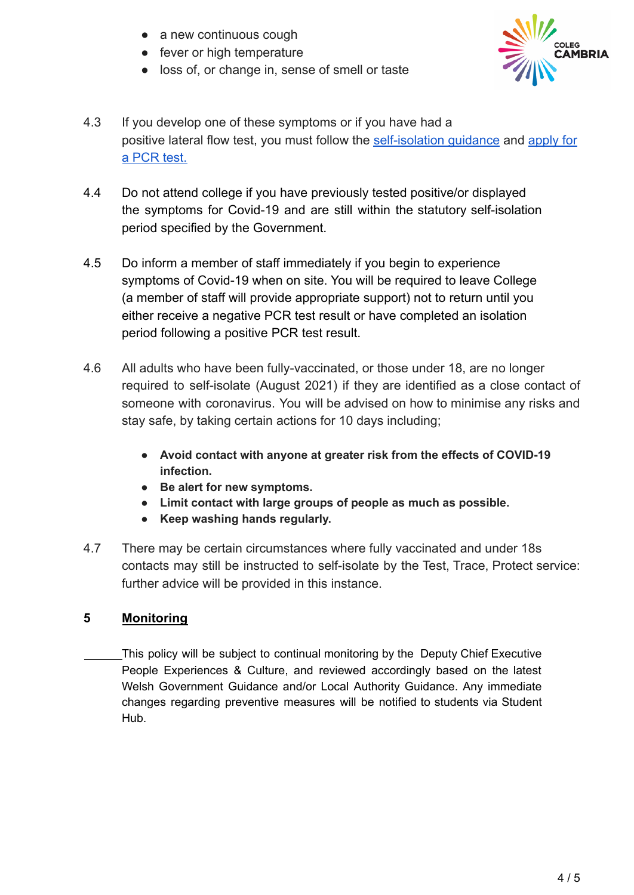- a new continuous cough
- fever or high temperature
- loss of, or change in, sense of smell or taste



- 4.3 If you develop one of these symptoms or if you have had a positive lateral flow test, you must follow the [self-isolation](https://gov.wales/self-isolation) guidance and [apply for](https://gov.wales/get-tested-coronavirus-covid-19) [a PCR test.](https://gov.wales/get-tested-coronavirus-covid-19)
- 4.4 Do not attend college if you have previously tested positive/or displayed the symptoms for Covid-19 and are still within the statutory self-isolation period specified by the Government.
- 4.5 Do inform a member of staff immediately if you begin to experience symptoms of Covid-19 when on site. You will be required to leave College (a member of staff will provide appropriate support) not to return until you either receive a negative PCR test result or have completed an isolation period following a positive PCR test result.
- 4.6 All adults who have been fully-vaccinated, or those under 18, are no longer required to self-isolate (August 2021) if they are identified as a close contact of someone with coronavirus. You will be advised on how to minimise any risks and stay safe, by taking certain actions for 10 days including;
	- **● Avoid contact with anyone at greater risk from the effects of COVID-19 infection.**
	- **● Be alert for new symptoms.**
	- **● Limit contact with large groups of people as much as possible.**
	- **● Keep washing hands regularly.**
- 4.7 There may be certain circumstances where fully vaccinated and under 18s contacts may still be instructed to self-isolate by the Test, Trace, Protect service: further advice will be provided in this instance.

# **5 Monitoring**

This policy will be subject to continual monitoring by the Deputy Chief Executive People Experiences & Culture, and reviewed accordingly based on the latest Welsh Government Guidance and/or Local Authority Guidance. Any immediate changes regarding preventive measures will be notified to students via Student Hub.